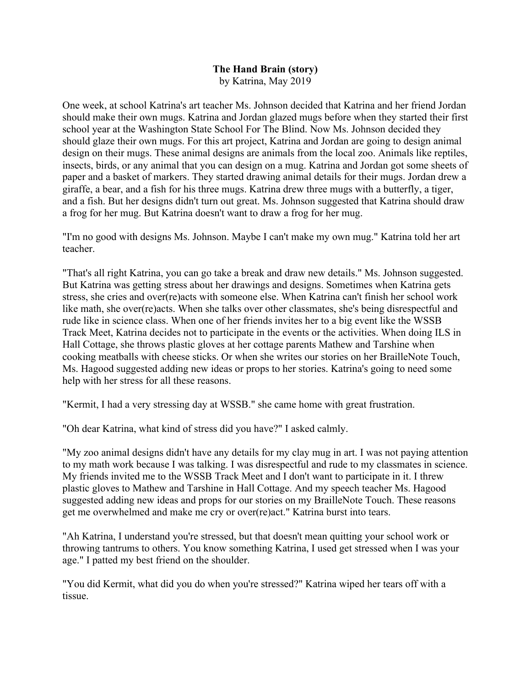## **The Hand Brain (story)** by Katrina, May 2019

One week, at school Katrina's art teacher Ms. Johnson decided that Katrina and her friend Jordan should make their own mugs. Katrina and Jordan glazed mugs before when they started their first school year at the Washington State School For The Blind. Now Ms. Johnson decided they should glaze their own mugs. For this art project, Katrina and Jordan are going to design animal design on their mugs. These animal designs are animals from the local zoo. Animals like reptiles, insects, birds, or any animal that you can design on a mug. Katrina and Jordan got some sheets of paper and a basket of markers. They started drawing animal details for their mugs. Jordan drew a giraffe, a bear, and a fish for his three mugs. Katrina drew three mugs with a butterfly, a tiger, and a fish. But her designs didn't turn out great. Ms. Johnson suggested that Katrina should draw a frog for her mug. But Katrina doesn't want to draw a frog for her mug.

"I'm no good with designs Ms. Johnson. Maybe I can't make my own mug." Katrina told her art teacher.

"That's all right Katrina, you can go take a break and draw new details." Ms. Johnson suggested. But Katrina was getting stress about her drawings and designs. Sometimes when Katrina gets stress, she cries and over(re)acts with someone else. When Katrina can't finish her school work like math, she over(re)acts. When she talks over other classmates, she's being disrespectful and rude like in science class. When one of her friends invites her to a big event like the WSSB Track Meet, Katrina decides not to participate in the events or the activities. When doing ILS in Hall Cottage, she throws plastic gloves at her cottage parents Mathew and Tarshine when cooking meatballs with cheese sticks. Or when she writes our stories on her BrailleNote Touch, Ms. Hagood suggested adding new ideas or props to her stories. Katrina's going to need some help with her stress for all these reasons.

"Kermit, I had a very stressing day at WSSB." she came home with great frustration.

"Oh dear Katrina, what kind of stress did you have?" I asked calmly.

"My zoo animal designs didn't have any details for my clay mug in art. I was not paying attention to my math work because I was talking. I was disrespectful and rude to my classmates in science. My friends invited me to the WSSB Track Meet and I don't want to participate in it. I threw plastic gloves to Mathew and Tarshine in Hall Cottage. And my speech teacher Ms. Hagood suggested adding new ideas and props for our stories on my BrailleNote Touch. These reasons get me overwhelmed and make me cry or over(re)act." Katrina burst into tears.

"Ah Katrina, I understand you're stressed, but that doesn't mean quitting your school work or throwing tantrums to others. You know something Katrina, I used get stressed when I was your age." I patted my best friend on the shoulder.

"You did Kermit, what did you do when you're stressed?" Katrina wiped her tears off with a tissue.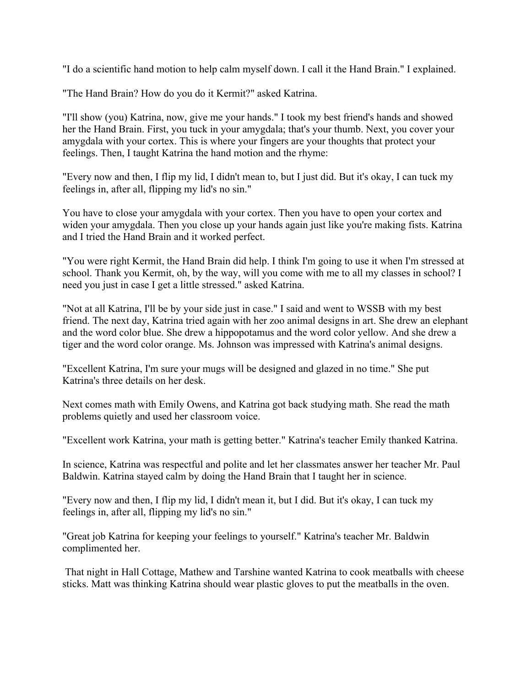"I do a scientific hand motion to help calm myself down. I call it the Hand Brain." I explained.

"The Hand Brain? How do you do it Kermit?" asked Katrina.

"I'll show (you) Katrina, now, give me your hands." I took my best friend's hands and showed her the Hand Brain. First, you tuck in your amygdala; that's your thumb. Next, you cover your amygdala with your cortex. This is where your fingers are your thoughts that protect your feelings. Then, I taught Katrina the hand motion and the rhyme:

"Every now and then, I flip my lid, I didn't mean to, but I just did. But it's okay, I can tuck my feelings in, after all, flipping my lid's no sin."

You have to close your amygdala with your cortex. Then you have to open your cortex and widen your amygdala. Then you close up your hands again just like you're making fists. Katrina and I tried the Hand Brain and it worked perfect.

"You were right Kermit, the Hand Brain did help. I think I'm going to use it when I'm stressed at school. Thank you Kermit, oh, by the way, will you come with me to all my classes in school? I need you just in case I get a little stressed." asked Katrina.

"Not at all Katrina, I'll be by your side just in case." I said and went to WSSB with my best friend. The next day, Katrina tried again with her zoo animal designs in art. She drew an elephant and the word color blue. She drew a hippopotamus and the word color yellow. And she drew a tiger and the word color orange. Ms. Johnson was impressed with Katrina's animal designs.

"Excellent Katrina, I'm sure your mugs will be designed and glazed in no time." She put Katrina's three details on her desk.

Next comes math with Emily Owens, and Katrina got back studying math. She read the math problems quietly and used her classroom voice.

"Excellent work Katrina, your math is getting better." Katrina's teacher Emily thanked Katrina.

In science, Katrina was respectful and polite and let her classmates answer her teacher Mr. Paul Baldwin. Katrina stayed calm by doing the Hand Brain that I taught her in science.

"Every now and then, I flip my lid, I didn't mean it, but I did. But it's okay, I can tuck my feelings in, after all, flipping my lid's no sin."

"Great job Katrina for keeping your feelings to yourself." Katrina's teacher Mr. Baldwin complimented her.

That night in Hall Cottage, Mathew and Tarshine wanted Katrina to cook meatballs with cheese sticks. Matt was thinking Katrina should wear plastic gloves to put the meatballs in the oven.